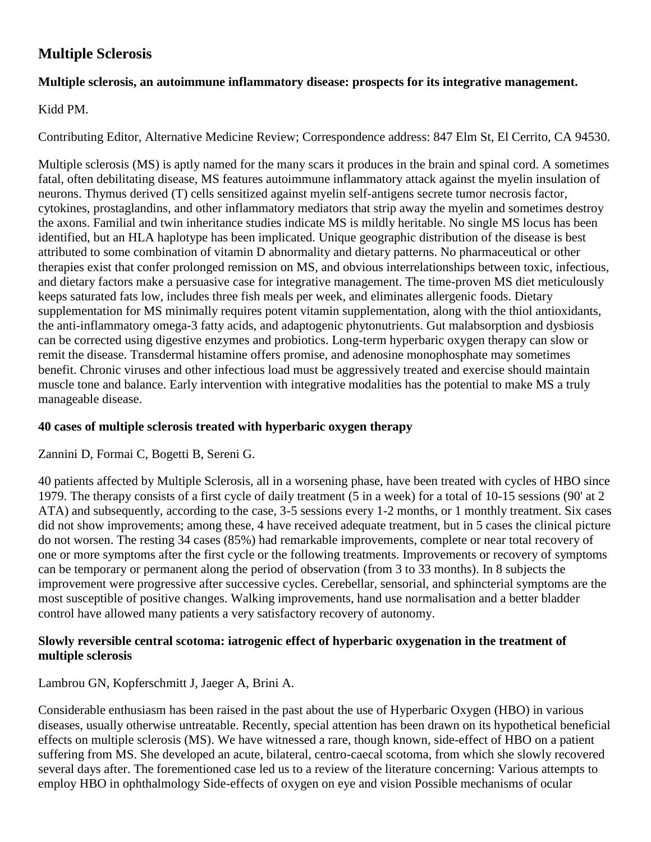# **Multiple Sclerosis**

### **Multiple sclerosis, an autoimmune inflammatory disease: prospects for its integrative management.**

### Kidd PM.

Contributing Editor, Alternative Medicine Review; Correspondence address: 847 Elm St, El Cerrito, CA 94530.

Multiple sclerosis (MS) is aptly named for the many scars it produces in the brain and spinal cord. A sometimes fatal, often debilitating disease, MS features autoimmune inflammatory attack against the myelin insulation of neurons. Thymus derived (T) cells sensitized against myelin self-antigens secrete tumor necrosis factor, cytokines, prostaglandins, and other inflammatory mediators that strip away the myelin and sometimes destroy the axons. Familial and twin inheritance studies indicate MS is mildly heritable. No single MS locus has been identified, but an HLA haplotype has been implicated. Unique geographic distribution of the disease is best attributed to some combination of vitamin D abnormality and dietary patterns. No pharmaceutical or other therapies exist that confer prolonged remission on MS, and obvious interrelationships between toxic, infectious, and dietary factors make a persuasive case for integrative management. The time-proven MS diet meticulously keeps saturated fats low, includes three fish meals per week, and eliminates allergenic foods. Dietary supplementation for MS minimally requires potent vitamin supplementation, along with the thiol antioxidants, the anti-inflammatory omega-3 fatty acids, and adaptogenic phytonutrients. Gut malabsorption and dysbiosis can be corrected using digestive enzymes and probiotics. Long-term hyperbaric oxygen therapy can slow or remit the disease. Transdermal histamine offers promise, and adenosine monophosphate may sometimes benefit. Chronic viruses and other infectious load must be aggressively treated and exercise should maintain muscle tone and balance. Early intervention with integrative modalities has the potential to make MS a truly manageable disease.

# **40 cases of multiple sclerosis treated with hyperbaric oxygen therapy**

Zannini D, Formai C, Bogetti B, Sereni G.

40 patients affected by Multiple Sclerosis, all in a worsening phase, have been treated with cycles of HBO since 1979. The therapy consists of a first cycle of daily treatment (5 in a week) for a total of 10-15 sessions (90' at 2 ATA) and subsequently, according to the case, 3-5 sessions every 1-2 months, or 1 monthly treatment. Six cases did not show improvements; among these, 4 have received adequate treatment, but in 5 cases the clinical picture do not worsen. The resting 34 cases (85%) had remarkable improvements, complete or near total recovery of one or more symptoms after the first cycle or the following treatments. Improvements or recovery of symptoms can be temporary or permanent along the period of observation (from 3 to 33 months). In 8 subjects the improvement were progressive after successive cycles. Cerebellar, sensorial, and sphincterial symptoms are the most susceptible of positive changes. Walking improvements, hand use normalisation and a better bladder control have allowed many patients a very satisfactory recovery of autonomy.

## **Slowly reversible central scotoma: iatrogenic effect of hyperbaric oxygenation in the treatment of multiple sclerosis**

#### Lambrou GN, Kopferschmitt J, Jaeger A, Brini A.

Considerable enthusiasm has been raised in the past about the use of Hyperbaric Oxygen (HBO) in various diseases, usually otherwise untreatable. Recently, special attention has been drawn on its hypothetical beneficial effects on multiple sclerosis (MS). We have witnessed a rare, though known, side-effect of HBO on a patient suffering from MS. She developed an acute, bilateral, centro-caecal scotoma, from which she slowly recovered several days after. The forementioned case led us to a review of the literature concerning: Various attempts to employ HBO in ophthalmology Side-effects of oxygen on eye and vision Possible mechanisms of ocular